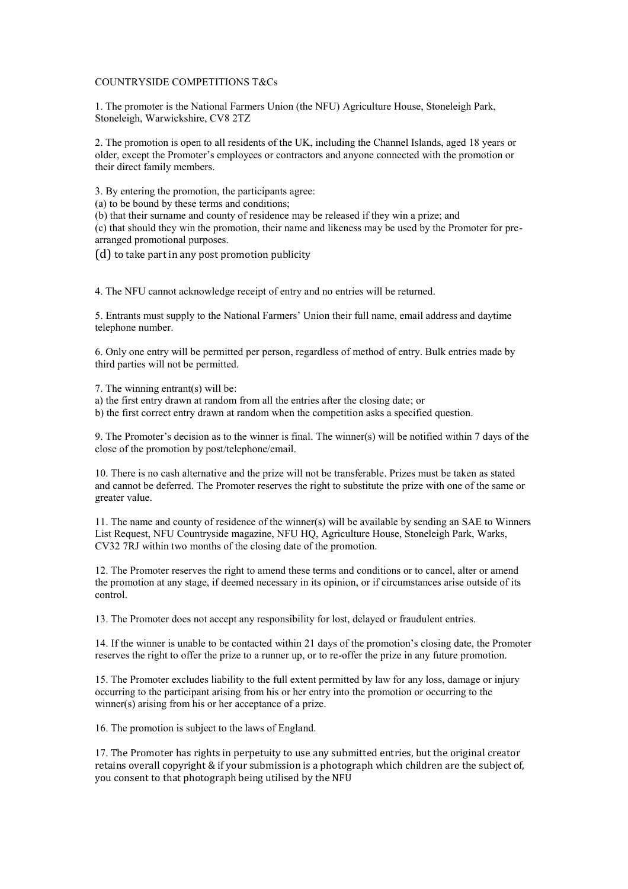## COUNTRYSIDE COMPETITIONS T&Cs

1. The promoter is the National Farmers Union (the NFU) Agriculture House, Stoneleigh Park, Stoneleigh, Warwickshire, CV8 2TZ

2. The promotion is open to all residents of the UK, including the Channel Islands, aged 18 years or older, except the Promoter's employees or contractors and anyone connected with the promotion or their direct family members.

3. By entering the promotion, the participants agree:

(a) to be bound by these terms and conditions;

(b) that their surname and county of residence may be released if they win a prize; and (c) that should they win the promotion, their name and likeness may be used by the Promoter for prearranged promotional purposes.

(d) to take part in any post promotion publicity

4. The NFU cannot acknowledge receipt of entry and no entries will be returned.

5. Entrants must supply to the National Farmers' Union their full name, email address and daytime telephone number.

6. Only one entry will be permitted per person, regardless of method of entry. Bulk entries made by third parties will not be permitted.

7. The winning entrant(s) will be:

a) the first entry drawn at random from all the entries after the closing date; or

b) the first correct entry drawn at random when the competition asks a specified question.

9. The Promoter's decision as to the winner is final. The winner(s) will be notified within 7 days of the close of the promotion by post/telephone/email.

10. There is no cash alternative and the prize will not be transferable. Prizes must be taken as stated and cannot be deferred. The Promoter reserves the right to substitute the prize with one of the same or greater value.

11. The name and county of residence of the winner(s) will be available by sending an SAE to Winners List Request, NFU Countryside magazine, NFU HQ, Agriculture House, Stoneleigh Park, Warks, CV32 7RJ within two months of the closing date of the promotion.

12. The Promoter reserves the right to amend these terms and conditions or to cancel, alter or amend the promotion at any stage, if deemed necessary in its opinion, or if circumstances arise outside of its control.

13. The Promoter does not accept any responsibility for lost, delayed or fraudulent entries.

14. If the winner is unable to be contacted within 21 days of the promotion's closing date, the Promoter reserves the right to offer the prize to a runner up, or to re-offer the prize in any future promotion.

15. The Promoter excludes liability to the full extent permitted by law for any loss, damage or injury occurring to the participant arising from his or her entry into the promotion or occurring to the winner(s) arising from his or her acceptance of a prize.

16. The promotion is subject to the laws of England.

17. The Promoter has rights in perpetuity to use any submitted entries, but the original creator retains overall copyright & if your submission is a photograph which children are the subject of, you consent to that photograph being utilised by the NFU